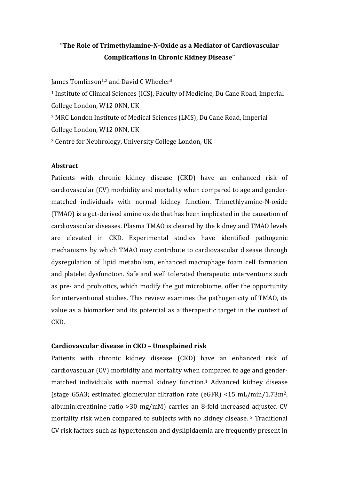# "The Role of Trimethylamine-N-Oxide as a Mediator of Cardiovascular **Complications in Chronic Kidney Disease"**

James Tomlinson<sup>1,2</sup> and David C Wheeler<sup>3</sup>

<sup>1</sup> Institute of Clinical Sciences (ICS), Faculty of Medicine, Du Cane Road, Imperial College London, W12 0NN, UK

<sup>2</sup> MRC London Institute of Medical Sciences (LMS), Du Cane Road, Imperial College London, W12 0NN, UK

<sup>3</sup> Centre for Nephrology, University College London, UK

# **Abstract**

Patients with chronic kidney disease (CKD) have an enhanced risk of cardiovascular (CV) morbidity and mortality when compared to age and gendermatched individuals with normal kidney function. Trimethlyamine-N-oxide (TMAO) is a gut-derived amine oxide that has been implicated in the causation of cardiovascular diseases. Plasma TMAO is cleared by the kidney and TMAO levels are elevated in CKD. Experimental studies have identified pathogenic mechanisms by which TMAO may contribute to cardiovascular disease through dysregulation of lipid metabolism, enhanced macrophage foam cell formation and platelet dysfunction. Safe and well tolerated therapeutic interventions such as pre- and probiotics, which modify the gut microbiome, offer the opportunity for interventional studies. This review examines the pathogenicity of TMAO, its value as a biomarker and its potential as a therapeutic target in the context of CKD.

# **Cardiovascular disease in CKD – Unexplained risk**

Patients with chronic kidney disease (CKD) have an enhanced risk of cardiovascular (CV) morbidity and mortality when compared to age and gendermatched individuals with normal kidney function.<sup>1</sup> Advanced kidney disease (stage G5A3; estimated glomerular filtration rate (eGFR) <15 mL/min/1.73m<sup>2</sup>, albumin: creatinine ratio  $>30$  mg/mM) carries an 8-fold increased adjusted CV mortality risk when compared to subjects with no kidney disease. <sup>2</sup> Traditional CV risk factors such as hypertension and dyslipidaemia are frequently present in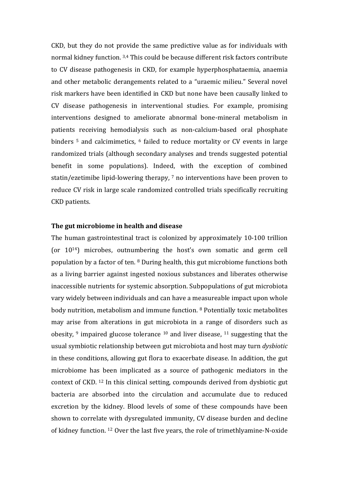CKD, but they do not provide the same predictive value as for individuals with normal kidney function. 3,4 This could be because different risk factors contribute to CV disease pathogenesis in CKD, for example hyperphosphataemia, anaemia and other metabolic derangements related to a "uraemic milieu." Several novel risk markers have been identified in CKD but none have been causally linked to CV disease pathogenesis in interventional studies. For example, promising interventions designed to ameliorate abnormal bone-mineral metabolism in patients receiving hemodialysis such as non-calcium-based oral phosphate binders  $5$  and calcimimetics,  $6$  failed to reduce mortality or CV events in large randomized trials (although secondary analyses and trends suggested potential benefit in some populations). Indeed, with the exception of combined statin/ezetimibe lipid-lowering therapy,  $7$  no interventions have been proven to reduce CV risk in large scale randomized controlled trials specifically recruiting CKD patients.

## The gut microbiome in health and disease

The human gastrointestinal tract is colonized by approximately 10-100 trillion (or  $10^{14}$ ) microbes, outnumbering the host's own somatic and germ cell population by a factor of ten. <sup>8</sup> During health, this gut microbiome functions both as a living barrier against ingested noxious substances and liberates otherwise inaccessible nutrients for systemic absorption. Subpopulations of gut microbiota vary widely between individuals and can have a measureable impact upon whole body nutrition, metabolism and immune function. <sup>8</sup> Potentially toxic metabolites may arise from alterations in gut microbiota in a range of disorders such as obesity,  $9$  impaired glucose tolerance  $10$  and liver disease,  $11$  suggesting that the usual symbiotic relationship between gut microbiota and host may turn *dysbiotic* in these conditions, allowing gut flora to exacerbate disease. In addition, the gut microbiome has been implicated as a source of pathogenic mediators in the context of CKD.  $^{12}$  In this clinical setting, compounds derived from dysbiotic gut bacteria are absorbed into the circulation and accumulate due to reduced excretion by the kidney. Blood levels of some of these compounds have been shown to correlate with dysregulated immunity, CV disease burden and decline of kidney function. <sup>12</sup> Over the last five years, the role of trimethlyamine-N-oxide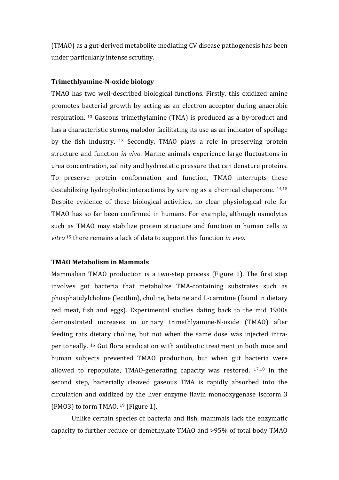(TMAO) as a gut-derived metabolite mediating CV disease pathogenesis has been under particularly intense scrutiny.

# **Trimethlyamine-N-oxide biology**

TMAO has two well-described biological functions. Firstly, this oxidized amine promotes bacterial growth by acting as an electron acceptor during anaerobic respiration.  $^{13}$  Gaseous trimethylamine (TMA) is produced as a by-product and has a characteristic strong malodor facilitating its use as an indicator of spoilage by the fish industry. <sup>13</sup> Secondly, TMAO plays a role in preserving protein structure and function *in vivo*. Marine animals experience large fluctuations in urea concentration, salinity and hydrostatic pressure that can denature proteins. To preserve protein conformation and function, TMAO interrupts these destabilizing hydrophobic interactions by serving as a chemical chaperone.  $14,15$ Despite evidence of these biological activities, no clear physiological role for TMAO has so far been confirmed in humans. For example, although osmolytes such as TMAO may stabilize protein structure and function in human cells *in vitro* <sup>15</sup> there remains a lack of data to support this function *in vivo.* 

# **TMAO Metabolism in Mammals**

Mammalian TMAO production is a two-step process (Figure 1). The first step involves gut bacteria that metabolize TMA-containing substrates such as phosphatidylcholine (lecithin), choline, betaine and L-carnitine (found in dietary red meat, fish and eggs). Experimental studies dating back to the mid 1900s demonstrated increases in urinary trimethlyamine-N-oxide (TMAO) after feeding rats dietary choline, but not when the same dose was injected intraperitoneally. <sup>16</sup> Gut flora eradication with antibiotic treatment in both mice and human subjects prevented TMAO production, but when gut bacteria were allowed to repopulate, TMAO-generating capacity was restored.  $17,18$  In the second step, bacterially cleaved gaseous TMA is rapidly absorbed into the circulation and oxidized by the liver enzyme flavin monooxygenase isoform 3 (FMO3) to form TMAO.  $19$  (Figure 1).

Unlike certain species of bacteria and fish, mammals lack the enzymatic capacity to further reduce or demethylate TMAO and >95% of total body TMAO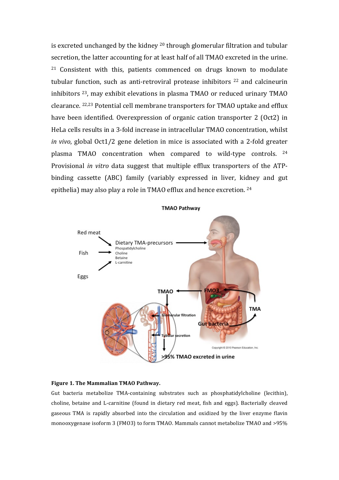is excreted unchanged by the kidney  $20$  through glomerular filtration and tubular secretion, the latter accounting for at least half of all TMAO excreted in the urine.  $21$  Consistent with this, patients commenced on drugs known to modulate tubular function, such as anti-retroviral protease inhibitors  $22$  and calcineurin inhibitors  $23$ , may exhibit elevations in plasma TMAO or reduced urinary TMAO clearance. <sup>22,23</sup> Potential cell membrane transporters for TMAO uptake and efflux have been identified. Overexpression of organic cation transporter 2 (Oct2) in HeLa cells results in a 3-fold increase in intracellular TMAO concentration, whilst *in vivo*, global Oct1/2 gene deletion in mice is associated with a 2-fold greater plasma TMAO concentration when compared to wild-type controls.  $24$ Provisional *in vitro* data suggest that multiple efflux transporters of the ATPbinding cassette (ABC) family (variably expressed in liver, kidney and gut epithelia) may also play a role in TMAO efflux and hence excretion. <sup>24</sup>





Gut bacteria metabolize TMA-containing substrates such as phosphatidylcholine (lecithin), choline, betaine and L-carnitine (found in dietary red meat, fish and eggs). Bacterially cleaved gaseous TMA is rapidly absorbed into the circulation and oxidized by the liver enzyme flavin monooxygenase isoform 3 (FMO3) to form TMAO. Mammals cannot metabolize TMAO and >95%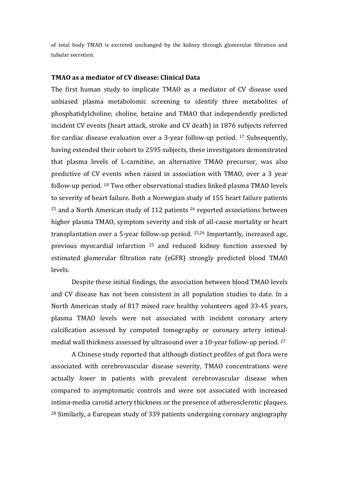of total body TMAO is excreted unchanged by the kidney through glomerular filtration and tubular secretion.

### **TMAO as a mediator of CV disease: Clinical Data**

The first human study to implicate TMAO as a mediator of CV disease used unbiased plasma metabolomic screening to identify three metabolites of phosphatidylcholine; choline, betaine and TMAO that independently predicted incident CV events (heart attack, stroke and CV death) in 1876 subjects referred for cardiac disease evaluation over a 3-year follow-up period.  $17$  Subsequently, having extended their cohort to 2595 subjects, these investigators demonstrated that plasma levels of L-carnitine, an alternative TMAO precursor, was also predictive of CV events when raised in association with TMAO, over a 3 year follow-up period.  $^{18}$  Two other observational studies linked plasma TMAO levels to severity of heart failure. Both a Norwegian study of 155 heart failure patients  $25$  and a North American study of 112 patients  $26$  reported associations between higher plasma TMAO, symptom severity and risk of all-cause mortality or heart transplantation over a 5-year follow-up period.  $25,26$  Importantly, increased age, previous myocardial infarction  $25$  and reduced kidney function assessed by estimated glomerular filtration rate (eGFR) strongly predicted blood TMAO levels. 

Despite these initial findings, the association between blood TMAO levels and CV disease has not been consistent in all population studies to date. In a North American study of 817 mixed race healthy volunteers aged 33-45 years, plasma TMAO levels were not associated with incident coronary artery calcification assessed by computed tomography or coronary artery intimalmedial wall thickness assessed by ultrasound over a 10-year follow-up period.  $27$ 

A Chinese study reported that although distinct profiles of gut flora were associated with cerebrovascular disease severity, TMAO concentrations were actually *lower* in patients with prevalent cerebrovascular disease when compared to asymptomatic controls and were not associated with increased intima-media carotid artery thickness or the presence of atherosclerotic plaques. <sup>28</sup> Similarly, a European study of 339 patients undergoing coronary angiography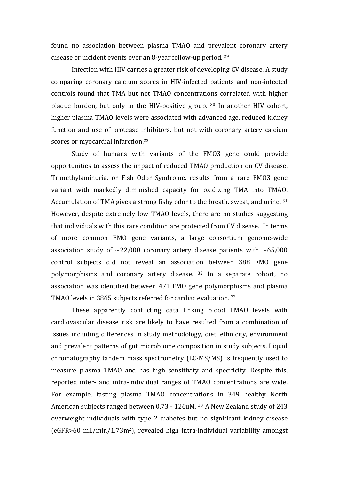found no association between plasma TMAO and prevalent coronary artery disease or incident events over an 8-year follow-up period.  $29$ 

Infection with HIV carries a greater risk of developing CV disease. A study comparing coronary calcium scores in HIV-infected patients and non-infected controls found that TMA but not TMAO concentrations correlated with higher plaque burden, but only in the HIV-positive group.  $30$  In another HIV cohort, higher plasma TMAO levels were associated with advanced age, reduced kidney function and use of protease inhibitors, but not with coronary artery calcium scores or myocardial infarction.<sup>22</sup>

Study of humans with variants of the FMO3 gene could provide opportunities to assess the impact of reduced TMAO production on CV disease. Trimethylaminuria, or Fish Odor Syndrome, results from a rare FMO3 gene variant with markedly diminished capacity for oxidizing TMA into TMAO. Accumulation of TMA gives a strong fishy odor to the breath, sweat, and urine.  $31$ However, despite extremely low TMAO levels, there are no studies suggesting that individuals with this rare condition are protected from CV disease. In terms of more common FMO gene variants, a large consortium genome-wide association study of  $\sim$ 22,000 coronary artery disease patients with  $\sim$ 65,000 control subjects did not reveal an association between 388 FMO gene polymorphisms and coronary artery disease. <sup>32</sup> In a separate cohort, no association was identified between 471 FMO gene polymorphisms and plasma TMAO levels in 3865 subjects referred for cardiac evaluation. <sup>32</sup>

These apparently conflicting data linking blood TMAO levels with cardiovascular disease risk are likely to have resulted from a combination of issues including differences in study methodology, diet, ethnicity, environment and prevalent patterns of gut microbiome composition in study subjects. Liquid chromatography tandem mass spectrometry (LC-MS/MS) is frequently used to measure plasma TMAO and has high sensitivity and specificity. Despite this, reported inter- and intra-individual ranges of TMAO concentrations are wide. For example, fasting plasma TMAO concentrations in 349 healthy North American subjects ranged between 0.73 - 126uM. 33 A New Zealand study of 243 overweight individuals with type 2 diabetes but no significant kidney disease  $(eGFR>60 \text{ mL/min}/1.73 \text{m}^2)$ , revealed high intra-individual variability amongst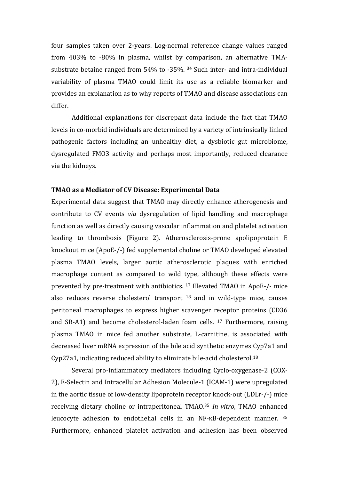four samples taken over 2-years. Log-normal reference change values ranged from 403% to -80% in plasma, whilst by comparison, an alternative TMAsubstrate betaine ranged from  $54\%$  to -35%. <sup>34</sup> Such inter- and intra-individual variability of plasma TMAO could limit its use as a reliable biomarker and provides an explanation as to why reports of TMAO and disease associations can differ.

Additional explanations for discrepant data include the fact that TMAO levels in co-morbid individuals are determined by a variety of intrinsically linked pathogenic factors including an unhealthy diet, a dysbiotic gut microbiome, dysregulated FMO3 activity and perhaps most importantly, reduced clearance via the kidneys.

### **TMAO as a Mediator of CV Disease: Experimental Data**

Experimental data suggest that TMAO may directly enhance atherogenesis and contribute to CV events *via* dysregulation of lipid handling and macrophage function as well as directly causing vascular inflammation and platelet activation leading to thrombosis (Figure 2). Atherosclerosis-prone apolipoprotein E knockout mice (ApoE-/-) fed supplemental choline or TMAO developed elevated plasma TMAO levels, larger aortic atherosclerotic plaques with enriched macrophage content as compared to wild type, although these effects were prevented by pre-treatment with antibiotics. <sup>17</sup> Elevated TMAO in ApoE-/- mice also reduces reverse cholesterol transport  $18$  and in wild-type mice, causes peritoneal macrophages to express higher scavenger receptor proteins (CD36 and SR-A1) and become cholesterol-laden foam cells.  $17$  Furthermore, raising plasma TMAO in mice fed another substrate, L-carnitine, is associated with decreased liver mRNA expression of the bile acid synthetic enzymes Cyp7a1 and Cyp27a1, indicating reduced ability to eliminate bile-acid cholesterol.<sup>18</sup>

Several pro-inflammatory mediators including Cyclo-oxygenase-2 (COX-2), E-Selectin and Intracellular Adhesion Molecule-1 (ICAM-1) were upregulated in the aortic tissue of low-density lipoprotein receptor knock-out (LDLr-/-) mice receiving dietary choline or intraperitoneal TMAO.<sup>35</sup> *In vitro*, TMAO enhanced leucocyte adhesion to endothelial cells in an NF- $\kappa$ B-dependent manner.  $35$ Furthermore, enhanced platelet activation and adhesion has been observed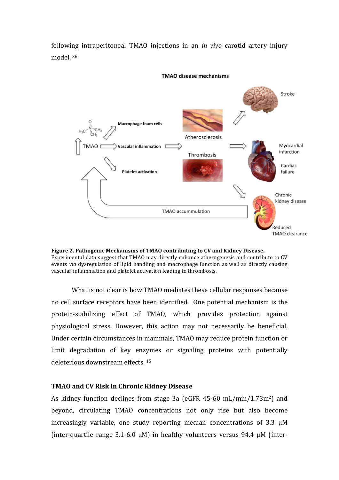following intraperitoneal TMAO injections in an *in vivo* carotid artery injury model.<sup>36</sup>



#### **TMAO** disease mechanisms



What is not clear is how TMAO mediates these cellular responses because no cell surface receptors have been identified. One potential mechanism is the protein-stabilizing effect of TMAO, which provides protection against physiological stress. However, this action may not necessarily be beneficial. Under certain circumstances in mammals, TMAO may reduce protein function or limit degradation of key enzymes or signaling proteins with potentially deleterious downstream effects.<sup>15</sup>

# **TMAO and CV Risk in Chronic Kidney Disease**

As kidney function declines from stage 3a (eGFR  $45-60$  mL/min/1.73m<sup>2</sup>) and beyond, circulating TMAO concentrations not only rise but also become increasingly variable, one study reporting median concentrations of  $3.3 \mu M$ (inter-quartile range  $3.1$ -6.0  $\mu$ M) in healthy volunteers versus 94.4  $\mu$ M (inter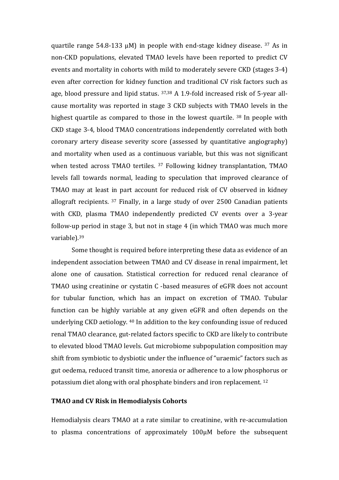quartile range  $54.8-133 \mu M$ ) in people with end-stage kidney disease. <sup>37</sup> As in non-CKD populations, elevated TMAO levels have been reported to predict CV events and mortality in cohorts with mild to moderately severe CKD (stages 3-4) even after correction for kidney function and traditional CV risk factors such as age, blood pressure and lipid status.  $37,38$  A 1.9-fold increased risk of 5-year allcause mortality was reported in stage 3 CKD subjects with TMAO levels in the highest quartile as compared to those in the lowest quartile.  $38$  In people with CKD stage 3-4, blood TMAO concentrations independently correlated with both coronary artery disease severity score (assessed by quantitative angiography) and mortality when used as a continuous variable, but this was not significant when tested across TMAO tertiles.  $37$  Following kidney transplantation, TMAO levels fall towards normal, leading to speculation that improved clearance of TMAO may at least in part account for reduced risk of CV observed in kidney allograft recipients.  $37$  Finally, in a large study of over 2500 Canadian patients with CKD, plasma TMAO independently predicted CV events over a 3-year follow-up period in stage 3, but not in stage 4 (in which TMAO was much more variable). 39

Some thought is required before interpreting these data as evidence of an independent association between TMAO and CV disease in renal impairment, let alone one of causation. Statistical correction for reduced renal clearance of TMAO using creatinine or cystatin C -based measures of eGFR does not account for tubular function, which has an impact on excretion of TMAO. Tubular function can be highly variable at any given eGFR and often depends on the underlying CKD aetiology.  $40$  In addition to the key confounding issue of reduced renal TMAO clearance, gut-related factors specific to CKD are likely to contribute to elevated blood TMAO levels. Gut microbiome subpopulation composition may shift from symbiotic to dysbiotic under the influence of "uraemic" factors such as gut oedema, reduced transit time, anorexia or adherence to a low phosphorus or potassium diet along with oral phosphate binders and iron replacement.<sup>12</sup>

# **TMAO and CV Risk in Hemodialysis Cohorts**

Hemodialysis clears TMAO at a rate similar to creatinine, with re-accumulation to plasma concentrations of approximately 100μM before the subsequent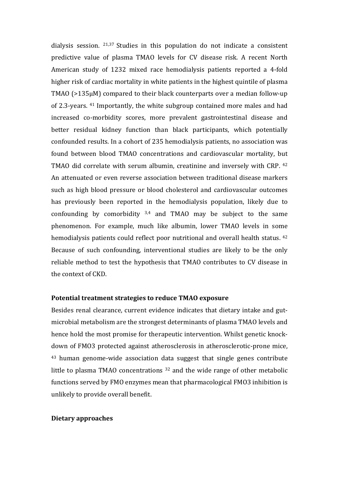dialysis session.  $21,37$  Studies in this population do not indicate a consistent predictive value of plasma TMAO levels for CV disease risk. A recent North American study of 1232 mixed race hemodialysis patients reported a 4-fold higher risk of cardiac mortality in white patients in the highest quintile of plasma TMAO  $(>135\mu)$  compared to their black counterparts over a median follow-up of 2.3-years. <sup>41</sup> Importantly, the white subgroup contained more males and had increased co-morbidity scores, more prevalent gastrointestinal disease and better residual kidney function than black participants, which potentially confounded results. In a cohort of 235 hemodialysis patients, no association was found between blood TMAO concentrations and cardiovascular mortality, but TMAO did correlate with serum albumin, creatinine and inversely with CRP. <sup>42</sup> An attenuated or even reverse association between traditional disease markers such as high blood pressure or blood cholesterol and cardiovascular outcomes has previously been reported in the hemodialysis population, likely due to confounding by comorbidity  $3,4$  and TMAO may be subject to the same phenomenon. For example, much like albumin, lower TMAO levels in some hemodialysis patients could reflect poor nutritional and overall health status. <sup>42</sup> Because of such confounding, interventional studies are likely to be the only reliable method to test the hypothesis that TMAO contributes to CV disease in the context of CKD.

# **Potential treatment strategies to reduce TMAO exposure**

Besides renal clearance, current evidence indicates that dietary intake and gutmicrobial metabolism are the strongest determinants of plasma TMAO levels and hence hold the most promise for therapeutic intervention. Whilst genetic knockdown of FMO3 protected against atherosclerosis in atherosclerotic-prone mice, <sup>43</sup> human genome-wide association data suggest that single genes contribute little to plasma TMAO concentrations  $32$  and the wide range of other metabolic functions served by FMO enzymes mean that pharmacological FMO3 inhibition is unlikely to provide overall benefit.

### **Dietary approaches**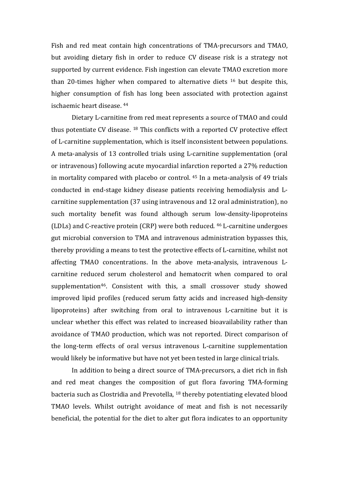Fish and red meat contain high concentrations of TMA-precursors and TMAO, but avoiding dietary fish in order to reduce CV disease risk is a strategy not supported by current evidence. Fish ingestion can elevate TMAO excretion more than 20-times higher when compared to alternative diets  $16$  but despite this, higher consumption of fish has long been associated with protection against ischaemic heart disease. <sup>44</sup>

Dietary L-carnitine from red meat represents a source of TMAO and could thus potentiate  $CV$  disease.  $18$  This conflicts with a reported  $CV$  protective effect of L-carnitine supplementation, which is itself inconsistent between populations. A meta-analysis of 13 controlled trials using L-carnitine supplementation (oral or intravenous) following acute myocardial infarction reported a 27% reduction in mortality compared with placebo or control.  $45$  In a meta-analysis of 49 trials conducted in end-stage kidney disease patients receiving hemodialysis and Lcarnitine supplementation (37 using intravenous and 12 oral administration), no such mortality benefit was found although serum low-density-lipoproteins (LDLs) and C-reactive protein  $(CRP)$  were both reduced.  $46$  L-carnitine undergoes gut microbial conversion to TMA and intravenous administration bypasses this, thereby providing a means to test the protective effects of L-carnitine, whilst not affecting TMAO concentrations. In the above meta-analysis, intravenous Lcarnitine reduced serum cholesterol and hematocrit when compared to oral supplementation<sup>46</sup>. Consistent with this, a small crossover study showed improved lipid profiles (reduced serum fatty acids and increased high-density lipoproteins) after switching from oral to intravenous L-carnitine but it is unclear whether this effect was related to increased bioavailability rather than avoidance of TMAO production, which was not reported. Direct comparison of the long-term effects of oral versus intravenous L-carnitine supplementation would likely be informative but have not yet been tested in large clinical trials.

In addition to being a direct source of TMA-precursors, a diet rich in fish and red meat changes the composition of gut flora favoring TMA-forming bacteria such as Clostridia and Prevotella, <sup>18</sup> thereby potentiating elevated blood TMAO levels. Whilst outright avoidance of meat and fish is not necessarily beneficial, the potential for the diet to alter gut flora indicates to an opportunity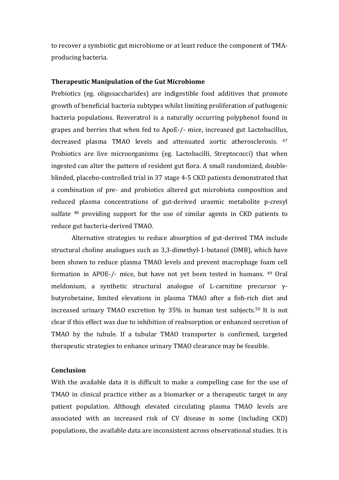to recover a symbiotic gut microbiome or at least reduce the component of TMAproducing bacteria.

### **Therapeutic Manipulation of the Gut Microbiome**

Prebiotics (eg. oligosaccharides) are indigestible food additives that promote growth of beneficial bacteria subtypes whilst limiting proliferation of pathogenic bacteria populations. Resveratrol is a naturally occurring polyphenol found in grapes and berries that when fed to ApoE-/- mice, increased gut Lactobacillus, decreased plasma TMAO levels and attenuated aortic atherosclerosis. <sup>47</sup> Probiotics are live microorganisms (eg. Lactobacilli, Streptococci) that when ingested can alter the pattern of resident gut flora. A small randomized, doubleblinded, placebo-controlled trial in 37 stage 4-5 CKD patients demonstrated that a combination of pre- and probiotics altered gut microbiota composition and reduced plasma concentrations of gut-derived uraemic metabolite p-cresyl sulfate  $48$  providing support for the use of similar agents in CKD patients to reduce gut bacteria-derived TMAO.

Alternative strategies to reduce absorption of gut-derived TMA include structural choline analogues such as 3,3-dimethyl-1-butanol (DMB), which have been shown to reduce plasma TMAO levels and prevent macrophage foam cell formation in APOE-/- mice, but have not yet been tested in humans. <sup>49</sup> Oral meldonium, a synthetic structural analogue of L-carnitine precursor  $y$ butyrobetaine, limited elevations in plasma TMAO after a fish-rich diet and increased urinary TMAO excretion by  $35\%$  in human test subjects.<sup>50</sup> It is not clear if this effect was due to inhibition of reabsorption or enhanced secretion of TMAO by the tubule. If a tubular TMAO transporter is confirmed, targeted therapeutic strategies to enhance urinary TMAO clearance may be feasible.

# **Conclusion**

With the available data it is difficult to make a compelling case for the use of TMAO in clinical practice either as a biomarker or a therapeutic target in any patient population. Although elevated circulating plasma TMAO levels are associated with an increased risk of CV disease in some (including CKD) populations, the available data are inconsistent across observational studies. It is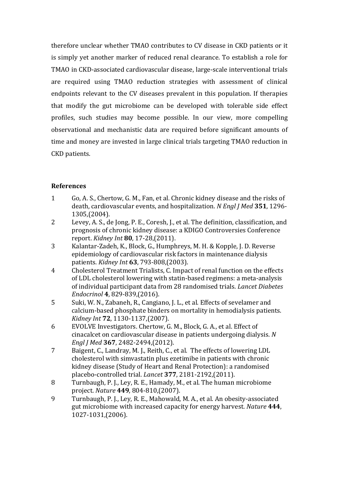therefore unclear whether TMAO contributes to CV disease in CKD patients or it is simply yet another marker of reduced renal clearance. To establish a role for TMAO in CKD-associated cardiovascular disease, large-scale interventional trials are required using TMAO reduction strategies with assessment of clinical endpoints relevant to the CV diseases prevalent in this population. If therapies that modify the gut microbiome can be developed with tolerable side effect profiles, such studies may become possible. In our view, more compelling observational and mechanistic data are required before significant amounts of time and money are invested in large clinical trials targeting TMAO reduction in CKD patients.

# **References**

- 1 Go, A. S., Chertow, G. M., Fan, et al. Chronic kidney disease and the risks of death, cardiovascular events, and hospitalization. N Engl J Med 351, 1296-1305,(2004).
- 2 Levey, A. S., de Jong, P. E., Coresh, J., et al. The definition, classification, and prognosis of chronic kidney disease: a KDIGO Controversies Conference report. *Kidney Int* **80**, 17-28,(2011).
- 3 Kalantar-Zadeh, K., Block, G., Humphreys, M. H. & Kopple, J. D. Reverse epidemiology of cardiovascular risk factors in maintenance dialysis patients. *Kidney Int* **63**, 793-808,(2003).
- 4 Cholesterol Treatment Trialists, C. Impact of renal function on the effects of LDL cholesterol lowering with statin-based regimens: a meta-analysis of individual participant data from 28 randomised trials. *Lancet Diabetes Endocrinol* **4**, 829-839,(2016).
- 5 Suki, W. N., Zabaneh, R., Cangiano, J. L., et al. Effects of sevelamer and calcium-based phosphate binders on mortality in hemodialysis patients. *Kidney Int* **72**, 1130-1137,(2007).
- 6 EVOLVE Investigators. Chertow, G. M., Block, G. A., et al. Effect of cinacalcet on cardiovascular disease in patients undergoing dialysis. N *Engl J Med* **367**, 2482-2494,(2012).
- 7 Baigent, C., Landray, M. J., Reith, C., et al. The effects of lowering LDL cholesterol with simvastatin plus ezetimibe in patients with chronic kidney disease (Study of Heart and Renal Protection): a randomised placebo-controlled trial. *Lancet* **377**, 2181-2192,(2011).
- 8 Turnbaugh, P. J., Ley, R. E., Hamady, M., et al. The human microbiome project. *Nature* **449**, 804-810,(2007).
- 9 Turnbaugh, P. J., Ley, R. E., Mahowald, M. A., et al. An obesity-associated gut microbiome with increased capacity for energy harvest. *Nature* 444, 1027-1031,(2006).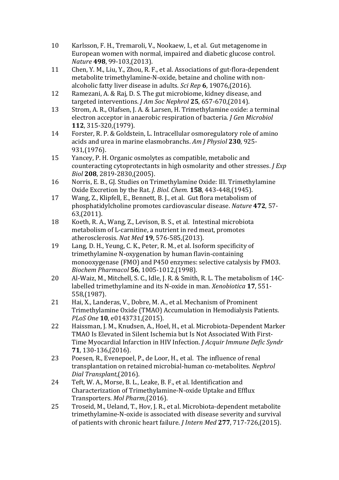- 10 Karlsson, F. H., Tremaroli, V., Nookaew, I., et al. Gut metagenome in European women with normal, impaired and diabetic glucose control. *Nature* **498**, 99-103,(2013).
- 11 Chen, Y. M., Liu, Y., Zhou, R. F., et al. Associations of gut-flora-dependent metabolite trimethylamine-N-oxide, betaine and choline with nonalcoholic fatty liver disease in adults. *Sci Rep* **6**, 19076,(2016).
- 12 Ramezani, A. & Raj, D. S. The gut microbiome, kidney disease, and targeted interventions. *J Am Soc Nephrol* 25, 657-670,(2014).
- 13 Strom, A. R., Olafsen, J. A. & Larsen, H. Trimethylamine oxide: a terminal electron acceptor in anaerobic respiration of bacteria. *J Gen Microbiol* **112**, 315-320,(1979).
- 14 Forster, R. P. & Goldstein, L. Intracellular osmoregulatory role of amino acids and urea in marine elasmobranchs. Am *J Physiol* 230, 925-931,(1976).
- 15 Yancey, P. H. Organic osmolytes as compatible, metabolic and counteracting cytoprotectants in high osmolarity and other stresses. *J Exp Biol* **208**, 2819-2830,(2005).
- 16 Norris, E. B., GJ. Studies on Trimethylamine Oxide: III. Trimethylamine Oxide Excretion by the Rat. *J. Biol. Chem.* **158**, 443-448,(1945).
- 17 Wang, Z., Klipfell, E., Bennett, B. J., et al. Gut flora metabolism of phosphatidylcholine promotes cardiovascular disease. *Nature* **472**, 57- 63,(2011).
- 18 Koeth, R. A., Wang, Z., Levison, B. S., et al. Intestinal microbiota metabolism of L-carnitine, a nutrient in red meat, promotes atherosclerosis. *Nat Med* **19**, 576-585,(2013).
- 19 Lang, D. H., Yeung, C. K., Peter, R. M., et al. Isoform specificity of trimethylamine N-oxygenation by human flavin-containing monooxygenase (FMO) and P450 enzymes: selective catalysis by FMO3. *Biochem Pharmacol* **56**, 1005-1012,(1998).
- 20 Al-Waiz, M., Mitchell, S. C., Idle, J. R. & Smith, R. L. The metabolism of 14Clabelled trimethylamine and its N-oxide in man. *Xenobiotica* 17, 551-558,(1987).
- 21 Hai, X., Landeras, V., Dobre, M. A., et al. Mechanism of Prominent Trimethylamine Oxide (TMAO) Accumulation in Hemodialysis Patients. *PLoS One* **10**, e0143731,(2015).
- 22 Haissman, J. M., Knudsen, A., Hoel, H., et al. Microbiota-Dependent Marker TMAO Is Elevated in Silent Ischemia but Is Not Associated With First-Time Myocardial Infarction in HIV Infection. *J Acquir Immune Defic Syndr* **71**, 130-136,(2016).
- 23 Poesen, R., Evenepoel, P., de Loor, H., et al. The influence of renal transplantation on retained microbial-human co-metabolites. *Nephrol Dial Transplant*,(2016).
- 24 Teft, W. A., Morse, B. L., Leake, B. F., et al. Identification and Characterization of Trimethylamine-N-oxide Uptake and Efflux Transporters. *Mol Pharm*,(2016).
- 25 Troseid, M., Ueland, T., Hov, J. R., et al. Microbiota-dependent metabolite trimethylamine-N-oxide is associated with disease severity and survival of patients with chronic heart failure. *J Intern Med* 277, 717-726,(2015).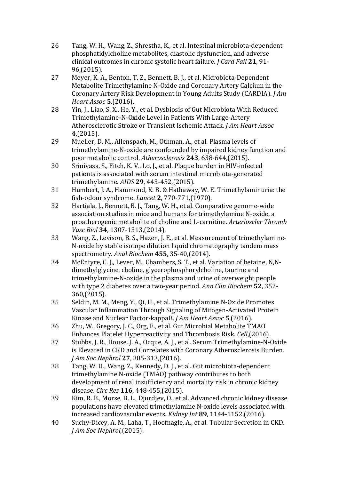- 26 Tang, W. H., Wang, Z., Shrestha, K., et al. Intestinal microbiota-dependent phosphatidylcholine metabolites, diastolic dysfunction, and adverse clinical outcomes in chronic systolic heart failure. *J Card Fail* 21, 91-96,(2015).
- 27 Meyer, K. A., Benton, T. Z., Bennett, B. J., et al. Microbiota-Dependent Metabolite Trimethylamine N-Oxide and Coronary Artery Calcium in the Coronary Artery Risk Development in Young Adults Study (CARDIA). *J Am Heart Assoc* **5**,(2016).
- 28 Yin, J., Liao, S. X., He, Y., et al. Dysbiosis of Gut Microbiota With Reduced Trimethylamine-N-Oxide Level in Patients With Large-Artery Atherosclerotic Stroke or Transient Ischemic Attack. *J Am Heart Assoc* **4**,(2015).
- 29 Mueller, D. M., Allenspach, M., Othman, A., et al. Plasma levels of trimethylamine-N-oxide are confounded by impaired kidney function and poor metabolic control. Atherosclerosis 243, 638-644,(2015).
- 30 Srinivasa, S., Fitch, K. V., Lo, J., et al. Plaque burden in HIV-infected patients is associated with serum intestinal microbiota-generated trimethylamine. *AIDS* **29**, 443-452,(2015).
- 31 Humbert, J. A., Hammond, K. B. & Hathaway, W. E. Trimethylaminuria: the fish-odour syndrome. *Lancet* **2**, 770-771,(1970).
- 32 Hartiala, J., Bennett, B. J., Tang, W. H., et al. Comparative genome-wide association studies in mice and humans for trimethylamine N-oxide, a proatherogenic metabolite of choline and L-carnitine. *Arterioscler Thromb Vasc Biol* **34**, 1307-1313,(2014).
- 33 Wang, Z., Levison, B. S., Hazen, J. E., et al. Measurement of trimethylamine-N-oxide by stable isotope dilution liquid chromatography tandem mass spectrometry. *Anal Biochem* **455**, 35-40,(2014).
- 34 McEntyre, C. J., Lever, M., Chambers, S. T., et al. Variation of betaine, N,Ndimethylglycine, choline, glycerophosphorylcholine, taurine and trimethylamine-N-oxide in the plasma and urine of overweight people with type 2 diabetes over a two-year period. Ann Clin Biochem 52, 352-360,(2015).
- 35 Seldin, M. M., Meng, Y., Qi, H., et al. Trimethylamine N-Oxide Promotes Vascular Inflammation Through Signaling of Mitogen-Activated Protein Kinase and Nuclear Factor-kappaB. *J Am Heart Assoc* **5**,(2016).
- 36 Zhu, W., Gregory, J. C., Org, E., et al. Gut Microbial Metabolite TMAO Enhances Platelet Hyperreactivity and Thrombosis Risk. *Cell*,(2016).
- 37 Stubbs, J. R., House, J. A., Ocque, A. J., et al. Serum Trimethylamine-N-Oxide is Elevated in CKD and Correlates with Coronary Atherosclerosis Burden. *J Am Soc Nephrol* **27**, 305-313,(2016).
- 38 Tang, W. H., Wang, Z., Kennedy, D. J., et al. Gut microbiota-dependent trimethylamine N-oxide (TMAO) pathway contributes to both development of renal insufficiency and mortality risk in chronic kidney disease. *Circ Res* **116**, 448-455,(2015).
- 39 Kim, R. B., Morse, B. L., Djurdjev, O., et al. Advanced chronic kidney disease populations have elevated trimethylamine N-oxide levels associated with increased cardiovascular events. *Kidney Int* 89, 1144-1152,(2016).
- 40 Suchy-Dicey, A. M., Laha, T., Hoofnagle, A., et al. Tubular Secretion in CKD. *J Am Soc Nephrol*,(2015).